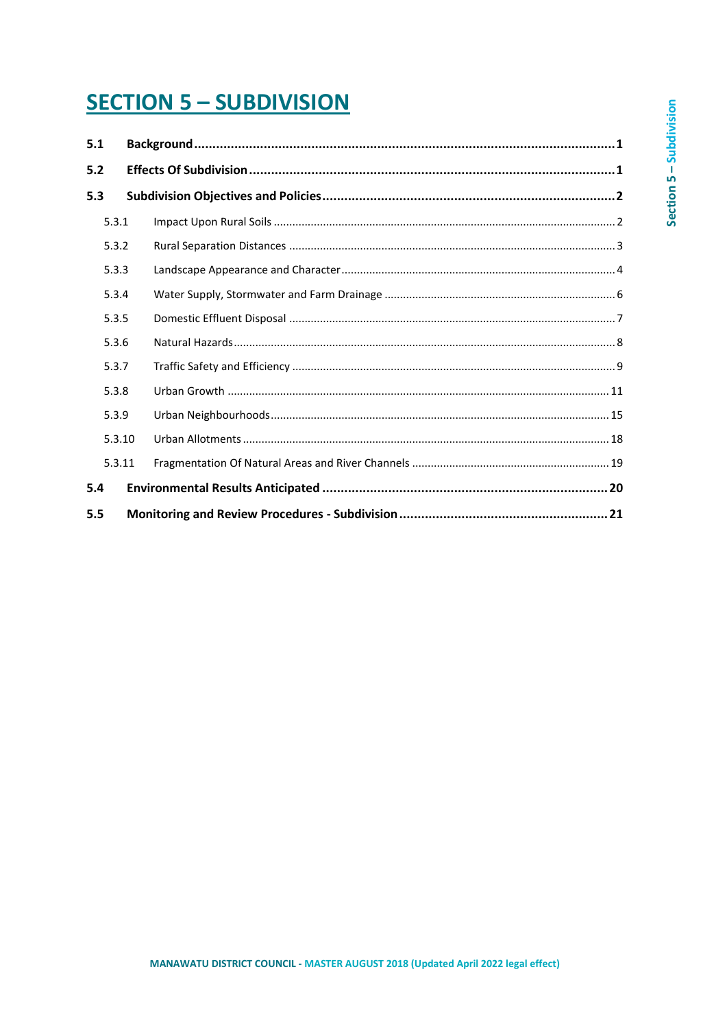# Section 5 - Subdivision

# **SECTION 5 - SUBDIVISION**

| 5.1 |        |  |  |
|-----|--------|--|--|
| 5.2 |        |  |  |
| 5.3 |        |  |  |
|     | 5.3.1  |  |  |
|     | 5.3.2  |  |  |
|     | 5.3.3  |  |  |
|     | 5.3.4  |  |  |
|     | 5.3.5  |  |  |
|     | 5.3.6  |  |  |
|     | 5.3.7  |  |  |
|     | 5.3.8  |  |  |
|     | 5.3.9  |  |  |
|     | 5.3.10 |  |  |
|     | 5.3.11 |  |  |
| 5.4 |        |  |  |
| 5.5 |        |  |  |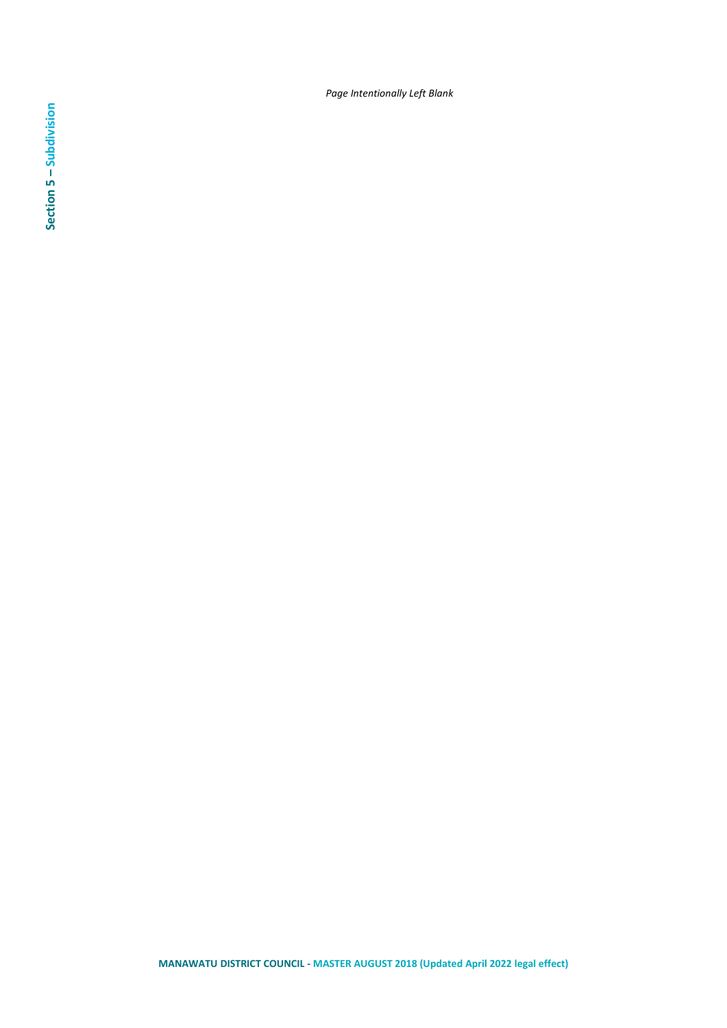*Page Intentionally Left Blank*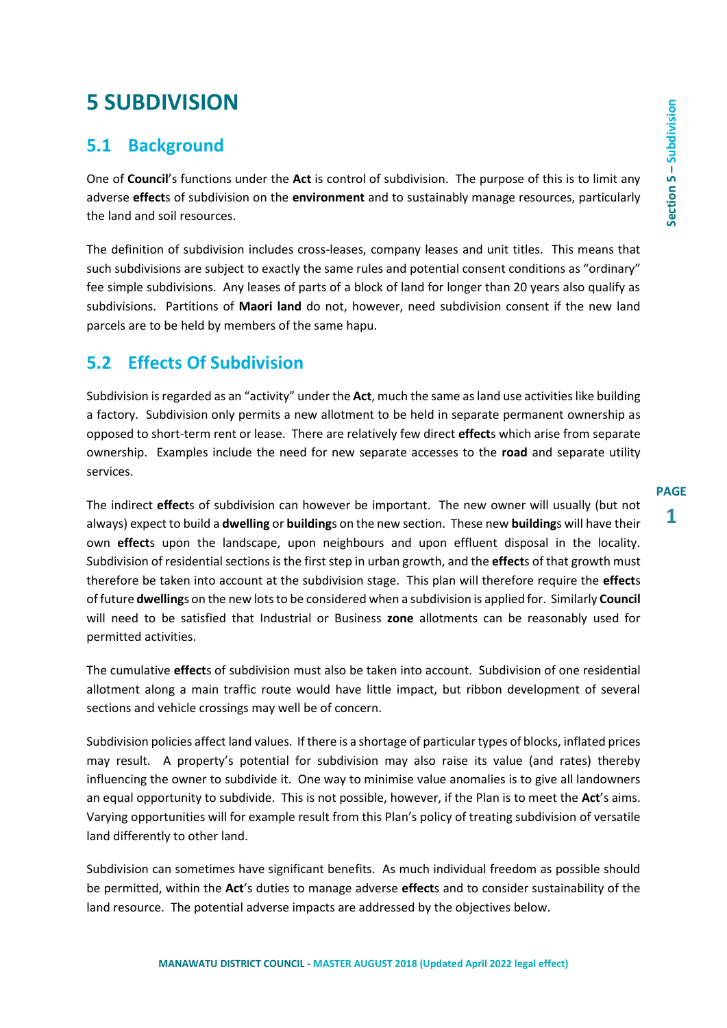# **5 SUBDIVISION**

## <span id="page-2-0"></span>**5.1 Background**

One of **Council**'s functions under the **Act** is control of subdivision. The purpose of this is to limit any adverse **effect**s of subdivision on the **environment** and to sustainably manage resources, particularly the land and soil resources.

The definition of subdivision includes cross-leases, company leases and unit titles. This means that such subdivisions are subject to exactly the same rules and potential consent conditions as "ordinary" fee simple subdivisions. Any leases of parts of a block of land for longer than 20 years also qualify as subdivisions. Partitions of **Maori land** do not, however, need subdivision consent if the new land parcels are to be held by members of the same hapu.

## <span id="page-2-1"></span>**5.2 Effects Of Subdivision**

Subdivision is regarded as an "activity" under the **Act**, much the same as land use activities like building a factory. Subdivision only permits a new allotment to be held in separate permanent ownership as opposed to short-term rent or lease. There are relatively few direct **effect**s which arise from separate ownership. Examples include the need for new separate accesses to the **road** and separate utility services.

The indirect **effect**s of subdivision can however be important. The new owner will usually (but not always) expect to build a **dwelling** or **building**s on the new section. These new **building**s will have their own **effect**s upon the landscape, upon neighbours and upon effluent disposal in the locality. Subdivision of residential sections is the first step in urban growth, and the **effect**s of that growth must therefore be taken into account at the subdivision stage. This plan will therefore require the **effect**s of future **dwelling**s on the new lots to be considered when a subdivision is applied for. Similarly **Council** will need to be satisfied that Industrial or Business **zone** allotments can be reasonably used for permitted activities.

The cumulative **effect**s of subdivision must also be taken into account. Subdivision of one residential allotment along a main traffic route would have little impact, but ribbon development of several sections and vehicle crossings may well be of concern.

Subdivision policies affect land values. If there is a shortage of particular types of blocks, inflated prices may result. A property's potential for subdivision may also raise its value (and rates) thereby influencing the owner to subdivide it. One way to minimise value anomalies is to give all landowners an equal opportunity to subdivide. This is not possible, however, if the Plan is to meet the **Act**'s aims. Varying opportunities will for example result from this Plan's policy of treating subdivision of versatile land differently to other land.

Subdivision can sometimes have significant benefits. As much individual freedom as possible should be permitted, within the **Act**'s duties to manage adverse **effect**s and to consider sustainability of the land resource. The potential adverse impacts are addressed by the objectives below.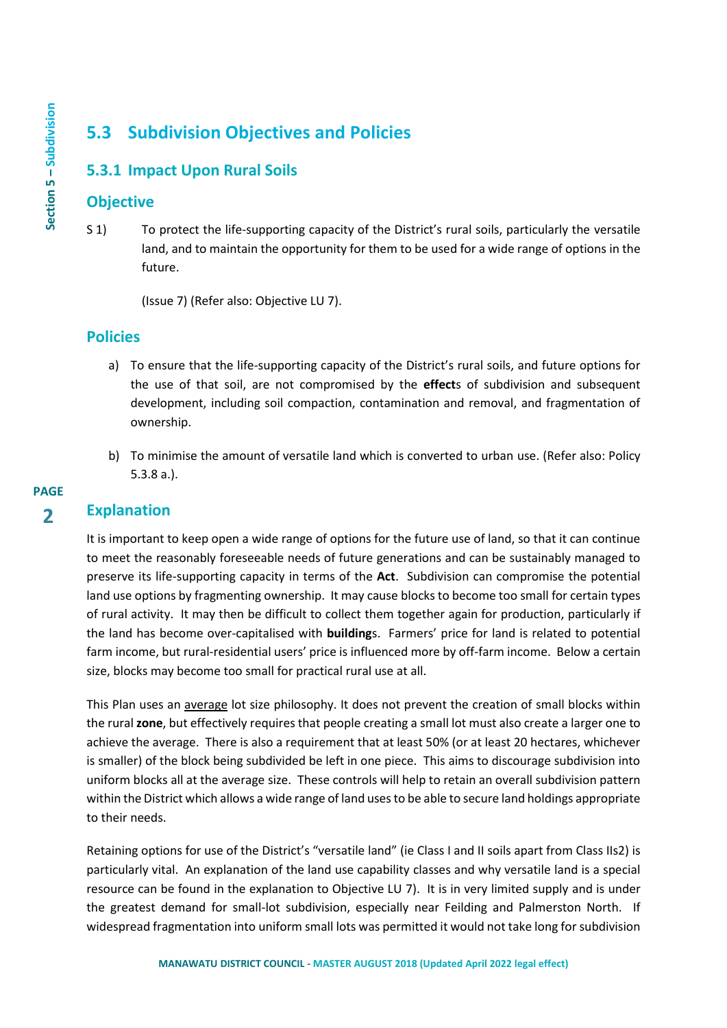## <span id="page-3-0"></span>**5.3 Subdivision Objectives and Policies**

#### <span id="page-3-1"></span>**5.3.1 Impact Upon Rural Soils**

#### **Objective**

S 1) To protect the life-supporting capacity of the District's rural soils, particularly the versatile land, and to maintain the opportunity for them to be used for a wide range of options in the future.

(Issue 7) (Refer also: Objective LU 7).

#### **Policies**

- a) To ensure that the life-supporting capacity of the District's rural soils, and future options for the use of that soil, are not compromised by the **effect**s of subdivision and subsequent development, including soil compaction, contamination and removal, and fragmentation of ownership.
- b) To minimise the amount of versatile land which is converted to urban use. (Refer also: Policy 5.3.8 a.).

#### **PAGE 2**

#### **Explanation**

It is important to keep open a wide range of options for the future use of land, so that it can continue to meet the reasonably foreseeable needs of future generations and can be sustainably managed to preserve its life-supporting capacity in terms of the **Act**. Subdivision can compromise the potential land use options by fragmenting ownership. It may cause blocks to become too small for certain types of rural activity. It may then be difficult to collect them together again for production, particularly if the land has become over-capitalised with **building**s. Farmers' price for land is related to potential farm income, but rural-residential users' price is influenced more by off-farm income. Below a certain size, blocks may become too small for practical rural use at all.

This Plan uses an average lot size philosophy. It does not prevent the creation of small blocks within the rural **zone**, but effectively requires that people creating a small lot must also create a larger one to achieve the average. There is also a requirement that at least 50% (or at least 20 hectares, whichever is smaller) of the block being subdivided be left in one piece. This aims to discourage subdivision into uniform blocks all at the average size. These controls will help to retain an overall subdivision pattern within the District which allows a wide range of land uses to be able to secure land holdings appropriate to their needs.

Retaining options for use of the District's "versatile land" (ie Class I and II soils apart from Class IIs2) is particularly vital. An explanation of the land use capability classes and why versatile land is a special resource can be found in the explanation to Objective LU 7). It is in very limited supply and is under the greatest demand for small-lot subdivision, especially near Feilding and Palmerston North. If widespread fragmentation into uniform small lots was permitted it would not take long for subdivision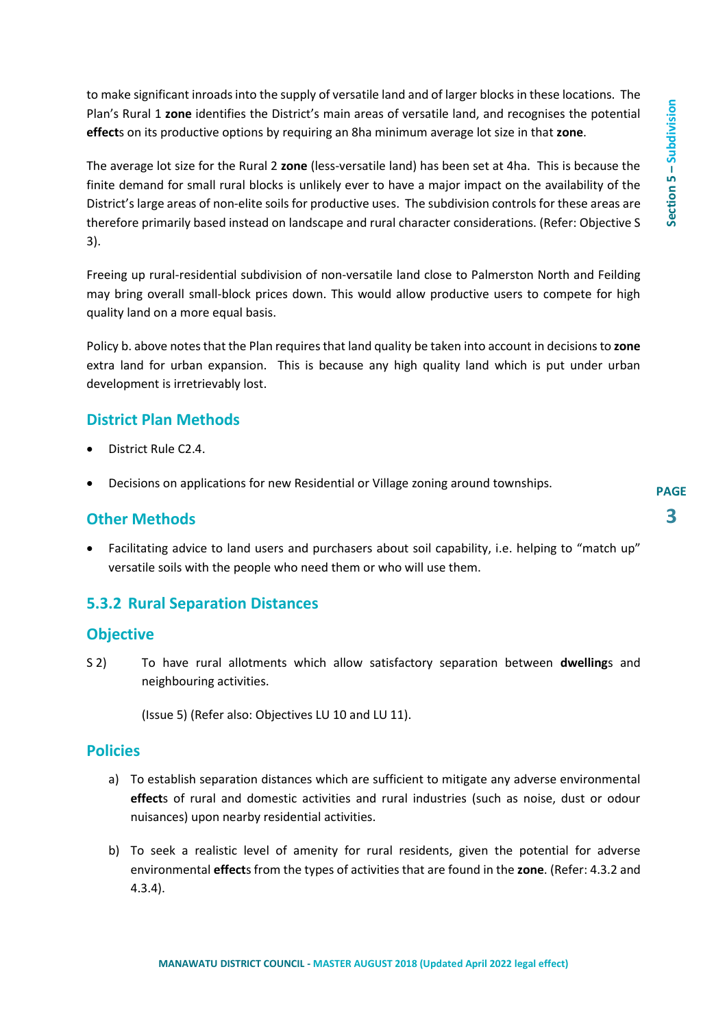to make significant inroads into the supply of versatile land and of larger blocks in these locations. The Plan's Rural 1 **zone** identifies the District's main areas of versatile land, and recognises the potential **effect**s on its productive options by requiring an 8ha minimum average lot size in that **zone**.

The average lot size for the Rural 2 **zone** (less-versatile land) has been set at 4ha. This is because the finite demand for small rural blocks is unlikely ever to have a major impact on the availability of the District's large areas of non-elite soils for productive uses. The subdivision controls for these areas are therefore primarily based instead on landscape and rural character considerations. (Refer: Objective S 3).

Freeing up rural-residential subdivision of non-versatile land close to Palmerston North and Feilding may bring overall small-block prices down. This would allow productive users to compete for high quality land on a more equal basis.

Policy b. above notes that the Plan requires that land quality be taken into account in decisions to **zone** extra land for urban expansion. This is because any high quality land which is put under urban development is irretrievably lost.

#### **District Plan Methods**

- District Rule C2.4.
- Decisions on applications for new Residential or Village zoning around townships.

#### **Other Methods**

• Facilitating advice to land users and purchasers about soil capability, i.e. helping to "match up" versatile soils with the people who need them or who will use them.

#### <span id="page-4-0"></span>**5.3.2 Rural Separation Distances**

#### **Objective**

S 2) To have rural allotments which allow satisfactory separation between **dwelling**s and neighbouring activities.

(Issue 5) (Refer also: Objectives LU 10 and LU 11).

#### **Policies**

- a) To establish separation distances which are sufficient to mitigate any adverse environmental **effect**s of rural and domestic activities and rural industries (such as noise, dust or odour nuisances) upon nearby residential activities.
- b) To seek a realistic level of amenity for rural residents, given the potential for adverse environmental **effect**s from the types of activities that are found in the **zone**. (Refer: 4.3.2 and 4.3.4).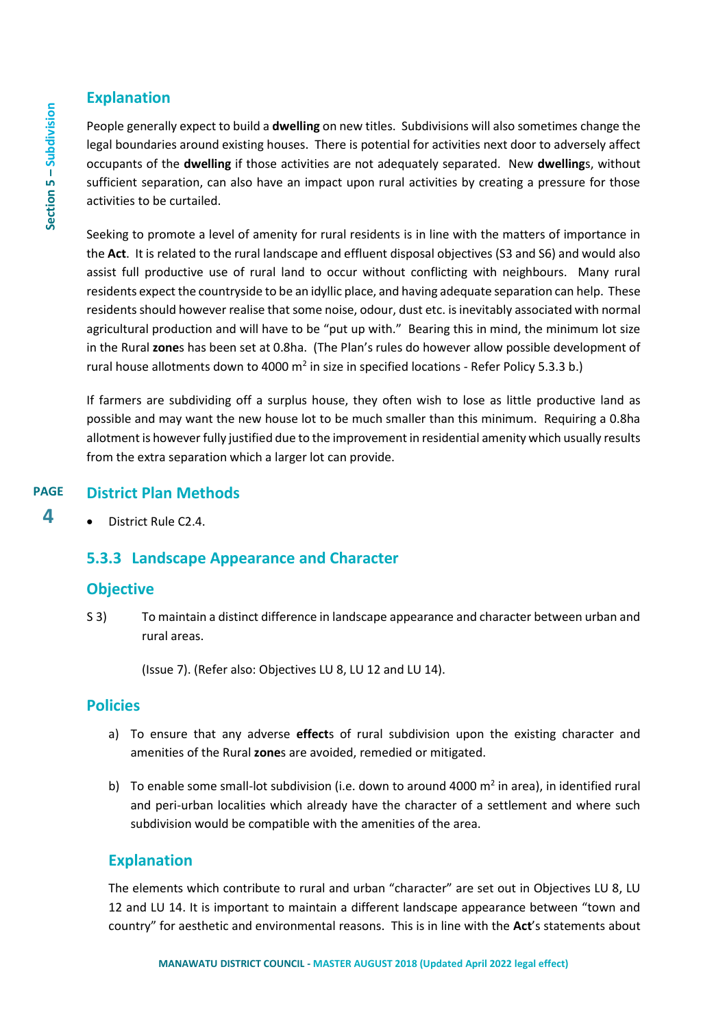#### **Explanation**

People generally expect to build a **dwelling** on new titles. Subdivisions will also sometimes change the legal boundaries around existing houses. There is potential for activities next door to adversely affect occupants of the **dwelling** if those activities are not adequately separated. New **dwelling**s, without sufficient separation, can also have an impact upon rural activities by creating a pressure for those activities to be curtailed.

Seeking to promote a level of amenity for rural residents is in line with the matters of importance in the **Act**. It is related to the rural landscape and effluent disposal objectives (S3 and S6) and would also assist full productive use of rural land to occur without conflicting with neighbours. Many rural residents expect the countryside to be an idyllic place, and having adequate separation can help. These residents should however realise that some noise, odour, dust etc. is inevitably associated with normal agricultural production and will have to be "put up with." Bearing this in mind, the minimum lot size in the Rural **zone**s has been set at 0.8ha. (The Plan's rules do however allow possible development of rural house allotments down to 4000 m<sup>2</sup> in size in specified locations - Refer Policy 5.3.3 b.)

If farmers are subdividing off a surplus house, they often wish to lose as little productive land as possible and may want the new house lot to be much smaller than this minimum. Requiring a 0.8ha allotment is however fully justified due to the improvement in residential amenity which usually results from the extra separation which a larger lot can provide.

#### **PAGE District Plan Methods**

• District Rule C2.4.

#### <span id="page-5-0"></span>**5.3.3 Landscape Appearance and Character**

#### **Objective**

S 3) To maintain a distinct difference in landscape appearance and character between urban and rural areas.

(Issue 7). (Refer also: Objectives LU 8, LU 12 and LU 14).

#### **Policies**

- a) To ensure that any adverse **effect**s of rural subdivision upon the existing character and amenities of the Rural **zone**s are avoided, remedied or mitigated.
- b) To enable some small-lot subdivision (i.e. down to around 4000 m<sup>2</sup> in area), in identified rural and peri-urban localities which already have the character of a settlement and where such subdivision would be compatible with the amenities of the area.

#### **Explanation**

The elements which contribute to rural and urban "character" are set out in Objectives LU 8, LU 12 and LU 14. It is important to maintain a different landscape appearance between "town and country" for aesthetic and environmental reasons. This is in line with the **Act**'s statements about

**4**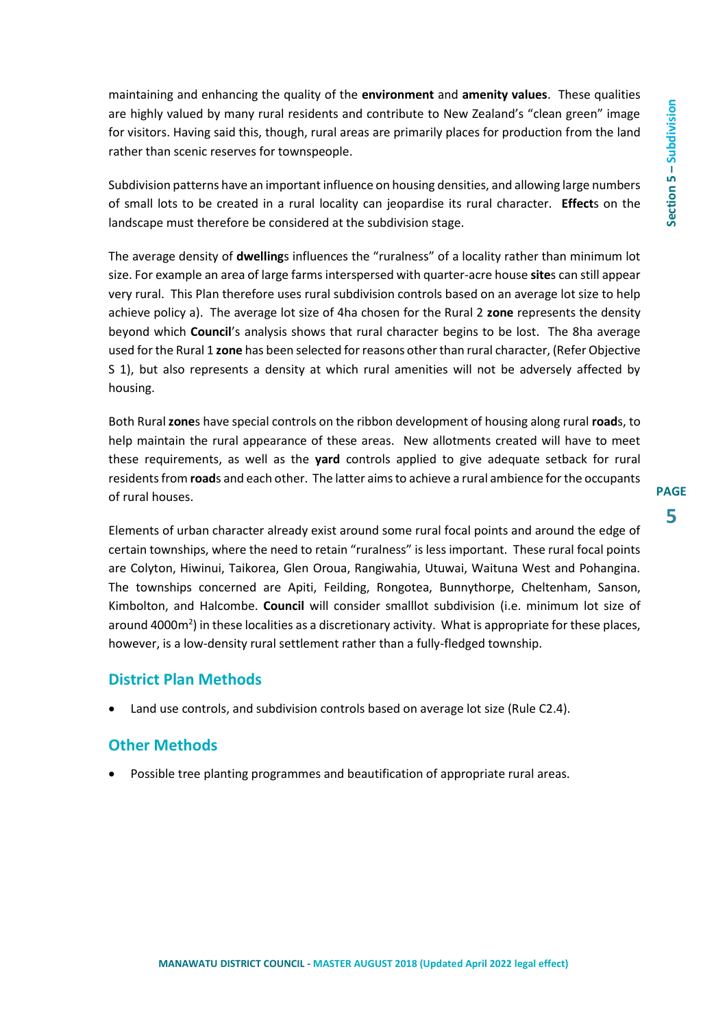maintaining and enhancing the quality of the **environment** and **amenity values**. These qualities are highly valued by many rural residents and contribute to New Zealand's "clean green" image for visitors. Having said this, though, rural areas are primarily places for production from the land rather than scenic reserves for townspeople.

Subdivision patterns have an important influence on housing densities, and allowing large numbers of small lots to be created in a rural locality can jeopardise its rural character. **Effect**s on the landscape must therefore be considered at the subdivision stage.

The average density of **dwelling**s influences the "ruralness" of a locality rather than minimum lot size. For example an area of large farms interspersed with quarter-acre house **site**s can still appear very rural. This Plan therefore uses rural subdivision controls based on an average lot size to help achieve policy a). The average lot size of 4ha chosen for the Rural 2 **zone** represents the density beyond which **Council**'s analysis shows that rural character begins to be lost. The 8ha average used for the Rural 1 **zone** has been selected for reasons other than rural character, (Refer Objective S 1), but also represents a density at which rural amenities will not be adversely affected by housing.

Both Rural **zone**s have special controls on the ribbon development of housing along rural **road**s, to help maintain the rural appearance of these areas. New allotments created will have to meet these requirements, as well as the **yard** controls applied to give adequate setback for rural residents from **road**s and each other. The latter aims to achieve a rural ambience for the occupants of rural houses.

Elements of urban character already exist around some rural focal points and around the edge of certain townships, where the need to retain "ruralness" is less important. These rural focal points are Colyton, Hiwinui, Taikorea, Glen Oroua, Rangiwahia, Utuwai, Waituna West and Pohangina. The townships concerned are Apiti, Feilding, Rongotea, Bunnythorpe, Cheltenham, Sanson, Kimbolton, and Halcombe. **Council** will consider smalllot subdivision (i.e. minimum lot size of around 4000m<sup>2</sup>) in these localities as a discretionary activity. What is appropriate for these places, however, is a low-density rural settlement rather than a fully-fledged township.

#### **District Plan Methods**

• Land use controls, and subdivision controls based on average lot size (Rule C2.4).

#### **Other Methods**

• Possible tree planting programmes and beautification of appropriate rural areas.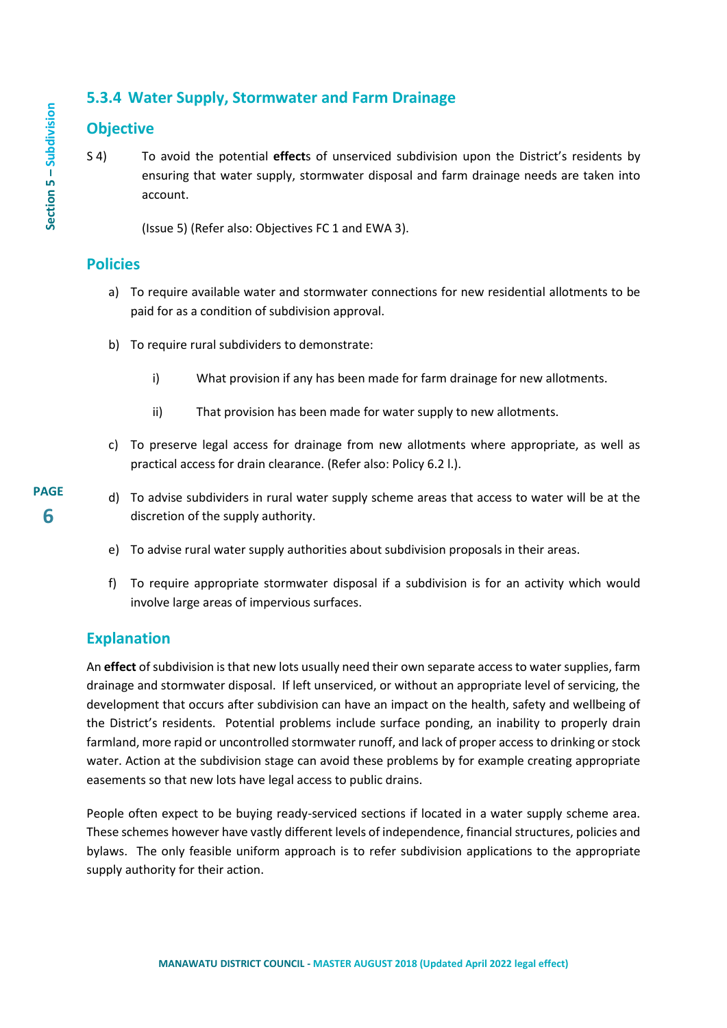#### <span id="page-7-0"></span>**5.3.4 Water Supply, Stormwater and Farm Drainage**

#### **Objective**

S 4) To avoid the potential **effect**s of unserviced subdivision upon the District's residents by ensuring that water supply, stormwater disposal and farm drainage needs are taken into account.

(Issue 5) (Refer also: Objectives FC 1 and EWA 3).

#### **Policies**

- a) To require available water and stormwater connections for new residential allotments to be paid for as a condition of subdivision approval.
- b) To require rural subdividers to demonstrate:
	- i) What provision if any has been made for farm drainage for new allotments.
	- ii) That provision has been made for water supply to new allotments.
- c) To preserve legal access for drainage from new allotments where appropriate, as well as practical access for drain clearance. (Refer also: Policy 6.2 l.).
- d) To advise subdividers in rural water supply scheme areas that access to water will be at the discretion of the supply authority.
- e) To advise rural water supply authorities about subdivision proposals in their areas.
- f) To require appropriate stormwater disposal if a subdivision is for an activity which would involve large areas of impervious surfaces.

#### **Explanation**

An **effect** of subdivision is that new lots usually need their own separate access to water supplies, farm drainage and stormwater disposal. If left unserviced, or without an appropriate level of servicing, the development that occurs after subdivision can have an impact on the health, safety and wellbeing of the District's residents. Potential problems include surface ponding, an inability to properly drain farmland, more rapid or uncontrolled stormwater runoff, and lack of proper access to drinking or stock water. Action at the subdivision stage can avoid these problems by for example creating appropriate easements so that new lots have legal access to public drains.

People often expect to be buying ready-serviced sections if located in a water supply scheme area. These schemes however have vastly different levels of independence, financial structures, policies and bylaws. The only feasible uniform approach is to refer subdivision applications to the appropriate supply authority for their action.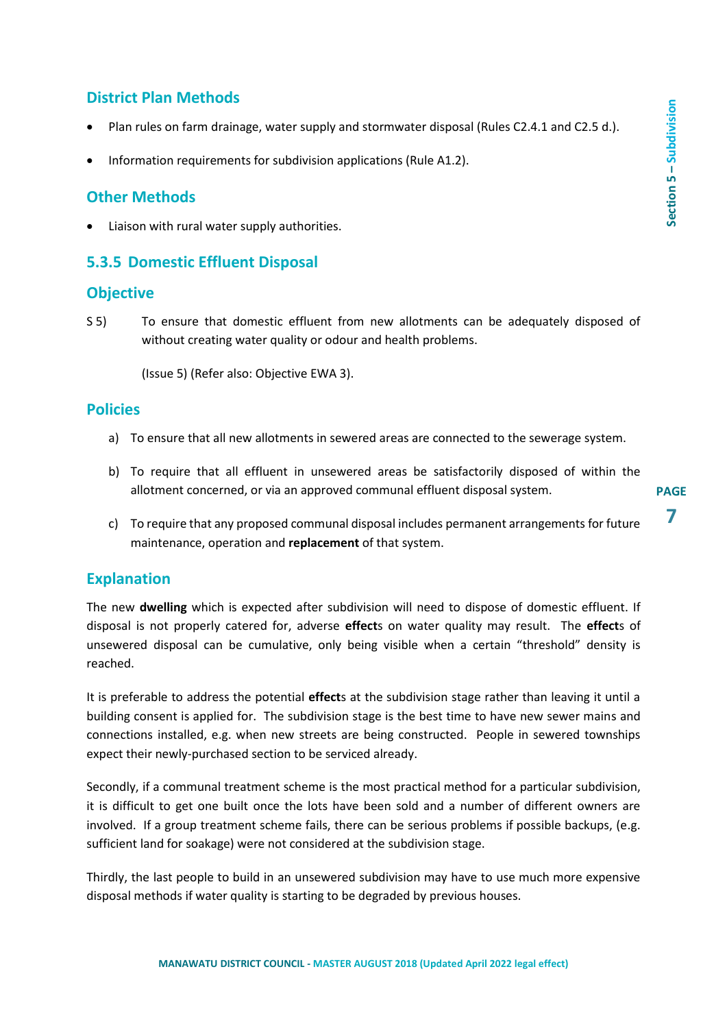#### **District Plan Methods**

- Plan rules on farm drainage, water supply and stormwater disposal (Rules C2.4.1 and C2.5 d.).
- Information requirements for subdivision applications (Rule A1.2).

#### **Other Methods**

• Liaison with rural water supply authorities.

#### <span id="page-8-0"></span>**5.3.5 Domestic Effluent Disposal**

#### **Objective**

S 5) To ensure that domestic effluent from new allotments can be adequately disposed of without creating water quality or odour and health problems.

(Issue 5) (Refer also: Objective EWA 3).

#### **Policies**

- a) To ensure that all new allotments in sewered areas are connected to the sewerage system.
- b) To require that all effluent in unsewered areas be satisfactorily disposed of within the allotment concerned, or via an approved communal effluent disposal system.
- c) To require that any proposed communal disposal includes permanent arrangements for future maintenance, operation and **replacement** of that system.

#### **Explanation**

The new **dwelling** which is expected after subdivision will need to dispose of domestic effluent. If disposal is not properly catered for, adverse **effect**s on water quality may result. The **effect**s of unsewered disposal can be cumulative, only being visible when a certain "threshold" density is reached.

It is preferable to address the potential **effect**s at the subdivision stage rather than leaving it until a building consent is applied for. The subdivision stage is the best time to have new sewer mains and connections installed, e.g. when new streets are being constructed. People in sewered townships expect their newly-purchased section to be serviced already.

Secondly, if a communal treatment scheme is the most practical method for a particular subdivision, it is difficult to get one built once the lots have been sold and a number of different owners are involved. If a group treatment scheme fails, there can be serious problems if possible backups, (e.g. sufficient land for soakage) were not considered at the subdivision stage.

Thirdly, the last people to build in an unsewered subdivision may have to use much more expensive disposal methods if water quality is starting to be degraded by previous houses.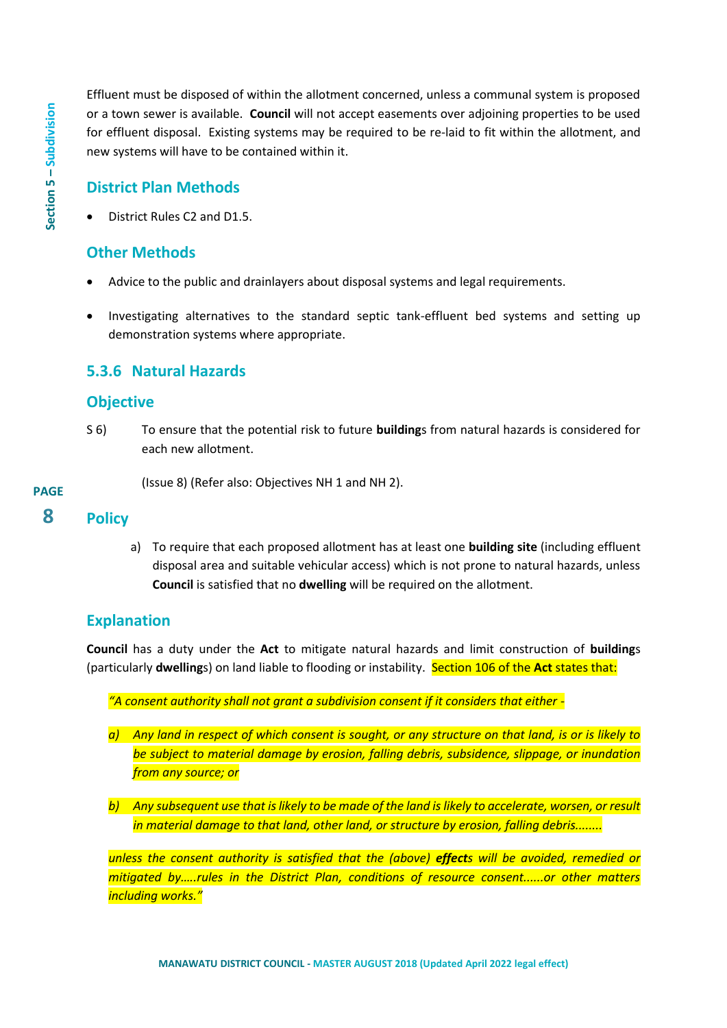Effluent must be disposed of within the allotment concerned, unless a communal system is proposed or a town sewer is available. **Council** will not accept easements over adjoining properties to be used for effluent disposal. Existing systems may be required to be re-laid to fit within the allotment, and new systems will have to be contained within it.

#### **District Plan Methods**

• District Rules C2 and D1.5.

#### **Other Methods**

- Advice to the public and drainlayers about disposal systems and legal requirements.
- Investigating alternatives to the standard septic tank-effluent bed systems and setting up demonstration systems where appropriate.

#### <span id="page-9-0"></span>**5.3.6 Natural Hazards**

#### **Objective**

S 6) To ensure that the potential risk to future **building**s from natural hazards is considered for each new allotment.

(Issue 8) (Refer also: Objectives NH 1 and NH 2).

#### **8 Policy**

**PAGE**

a) To require that each proposed allotment has at least one **building site** (including effluent disposal area and suitable vehicular access) which is not prone to natural hazards, unless **Council** is satisfied that no **dwelling** will be required on the allotment.

#### **Explanation**

**Council** has a duty under the **Act** to mitigate natural hazards and limit construction of **building**s (particularly **dwelling**s) on land liable to flooding or instability. Section 106 of the **Act** states that:

*"A consent authority shall not grant a subdivision consent if it considers that either -*

- *a) Any land in respect of which consent is sought, or any structure on that land, is or is likely to be subject to material damage by erosion, falling debris, subsidence, slippage, or inundation from any source; or*
- *b) Any subsequent use that is likely to be made of the land is likely to accelerate, worsen, or result in material damage to that land, other land, or structure by erosion, falling debris........*

*unless the consent authority is satisfied that the (above) effects will be avoided, remedied or mitigated by.….rules in the District Plan, conditions of resource consent......or other matters including works."*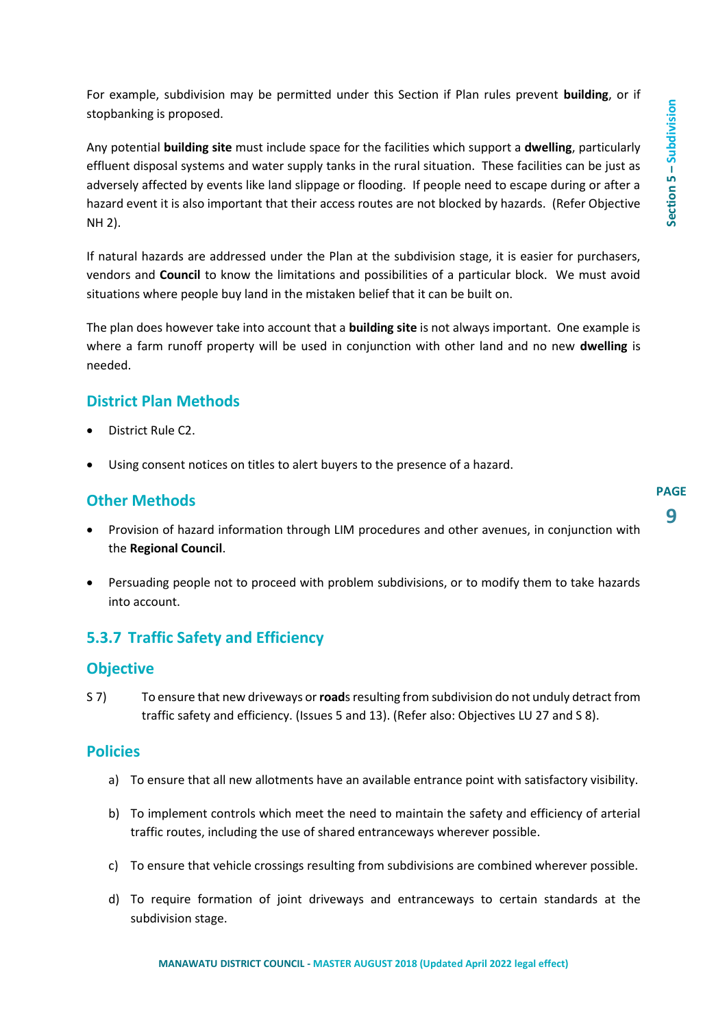For example, subdivision may be permitted under this Section if Plan rules prevent **building**, or if stopbanking is proposed.

Any potential **building site** must include space for the facilities which support a **dwelling**, particularly effluent disposal systems and water supply tanks in the rural situation. These facilities can be just as adversely affected by events like land slippage or flooding. If people need to escape during or after a hazard event it is also important that their access routes are not blocked by hazards. (Refer Objective NH 2).

If natural hazards are addressed under the Plan at the subdivision stage, it is easier for purchasers, vendors and **Council** to know the limitations and possibilities of a particular block. We must avoid situations where people buy land in the mistaken belief that it can be built on.

The plan does however take into account that a **building site** is not always important. One example is where a farm runoff property will be used in conjunction with other land and no new **dwelling** is needed.

#### **District Plan Methods**

- District Rule C2.
- Using consent notices on titles to alert buyers to the presence of a hazard.

#### **Other Methods**

- Provision of hazard information through LIM procedures and other avenues, in conjunction with the **Regional Council**.
- Persuading people not to proceed with problem subdivisions, or to modify them to take hazards into account.

#### <span id="page-10-0"></span>**5.3.7 Traffic Safety and Efficiency**

#### **Objective**

S 7) To ensure that new driveways or **road**s resulting from subdivision do not unduly detract from traffic safety and efficiency. (Issues 5 and 13). (Refer also: Objectives LU 27 and S 8).

#### **Policies**

- a) To ensure that all new allotments have an available entrance point with satisfactory visibility.
- b) To implement controls which meet the need to maintain the safety and efficiency of arterial traffic routes, including the use of shared entranceways wherever possible.
- c) To ensure that vehicle crossings resulting from subdivisions are combined wherever possible.
- d) To require formation of joint driveways and entranceways to certain standards at the subdivision stage.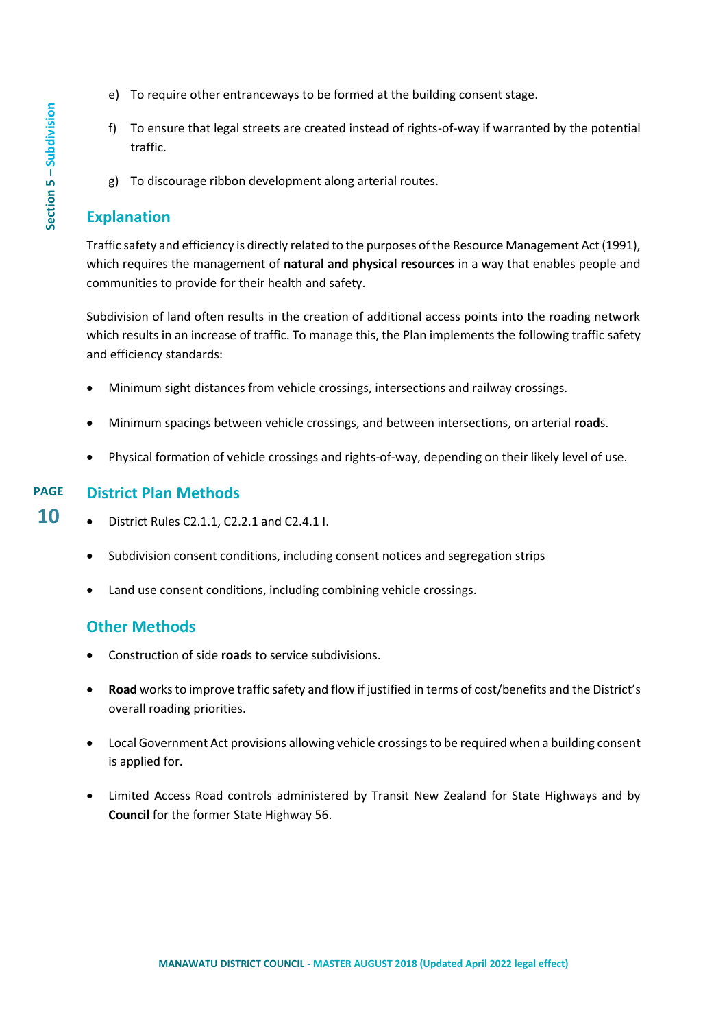- e) To require other entranceways to be formed at the building consent stage.
- f) To ensure that legal streets are created instead of rights-of-way if warranted by the potential traffic.
- g) To discourage ribbon development along arterial routes.

#### **Explanation**

Traffic safety and efficiency is directly related to the purposes of the Resource Management Act (1991), which requires the management of **natural and physical resources** in a way that enables people and communities to provide for their health and safety.

Subdivision of land often results in the creation of additional access points into the roading network which results in an increase of traffic. To manage this, the Plan implements the following traffic safety and efficiency standards:

- Minimum sight distances from vehicle crossings, intersections and railway crossings.
- Minimum spacings between vehicle crossings, and between intersections, on arterial **road**s.
- Physical formation of vehicle crossings and rights-of-way, depending on their likely level of use.

#### **PAGE District Plan Methods**

- District Rules C2.1.1, C2.2.1 and C2.4.1 I.
	- Subdivision consent conditions, including consent notices and segregation strips
- Land use consent conditions, including combining vehicle crossings.

#### **Other Methods**

- Construction of side **road**s to service subdivisions.
- **Road** works to improve traffic safety and flow if justified in terms of cost/benefits and the District's overall roading priorities.
- Local Government Act provisions allowing vehicle crossings to be required when a building consent is applied for.
- Limited Access Road controls administered by Transit New Zealand for State Highways and by **Council** for the former State Highway 56.

**10**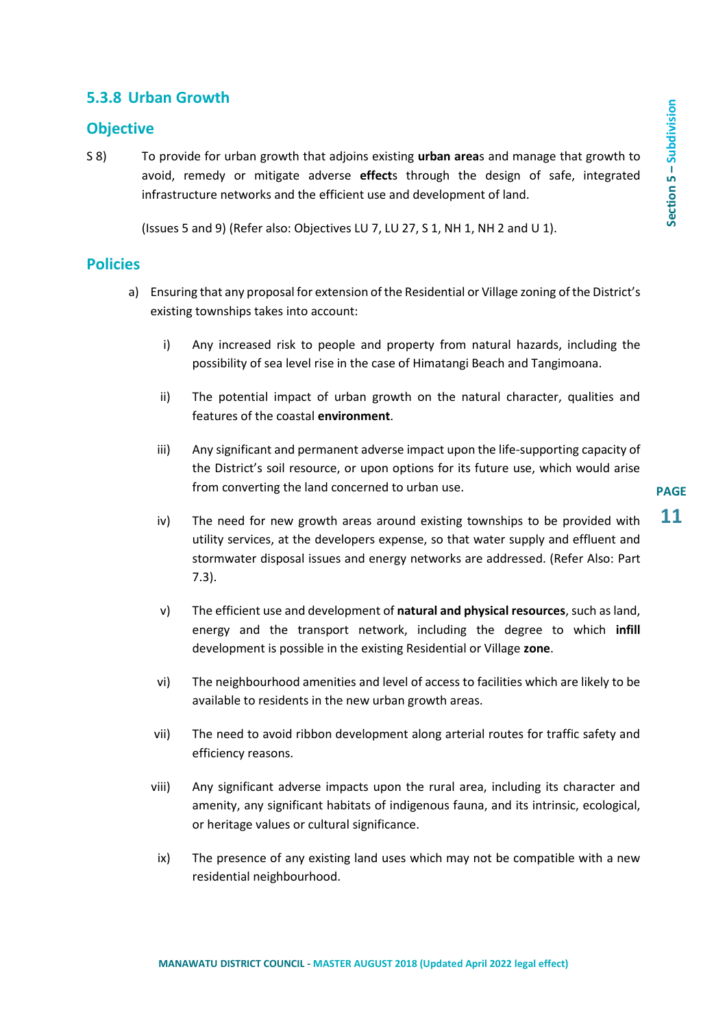#### <span id="page-12-0"></span>**5.3.8 Urban Growth**

#### **Objective**

S 8) To provide for urban growth that adjoins existing **urban area**s and manage that growth to avoid, remedy or mitigate adverse **effect**s through the design of safe, integrated infrastructure networks and the efficient use and development of land.

(Issues 5 and 9) (Refer also: Objectives LU 7, LU 27, S 1, NH 1, NH 2 and U 1).

#### **Policies**

- a) Ensuring that any proposal for extension of the Residential or Village zoning of the District's existing townships takes into account:
	- i) Any increased risk to people and property from natural hazards, including the possibility of sea level rise in the case of Himatangi Beach and Tangimoana.
	- ii) The potential impact of urban growth on the natural character, qualities and features of the coastal **environment**.
	- iii) Any significant and permanent adverse impact upon the life-supporting capacity of the District's soil resource, or upon options for its future use, which would arise from converting the land concerned to urban use.
	- iv) The need for new growth areas around existing townships to be provided with utility services, at the developers expense, so that water supply and effluent and stormwater disposal issues and energy networks are addressed. (Refer Also: Part 7.3).
	- v) The efficient use and development of **natural and physical resources**, such as land, energy and the transport network, including the degree to which **infill** development is possible in the existing Residential or Village **zone**.
	- vi) The neighbourhood amenities and level of access to facilities which are likely to be available to residents in the new urban growth areas.
	- vii) The need to avoid ribbon development along arterial routes for traffic safety and efficiency reasons.
	- viii) Any significant adverse impacts upon the rural area, including its character and amenity, any significant habitats of indigenous fauna, and its intrinsic, ecological, or heritage values or cultural significance.
	- ix) The presence of any existing land uses which may not be compatible with a new residential neighbourhood.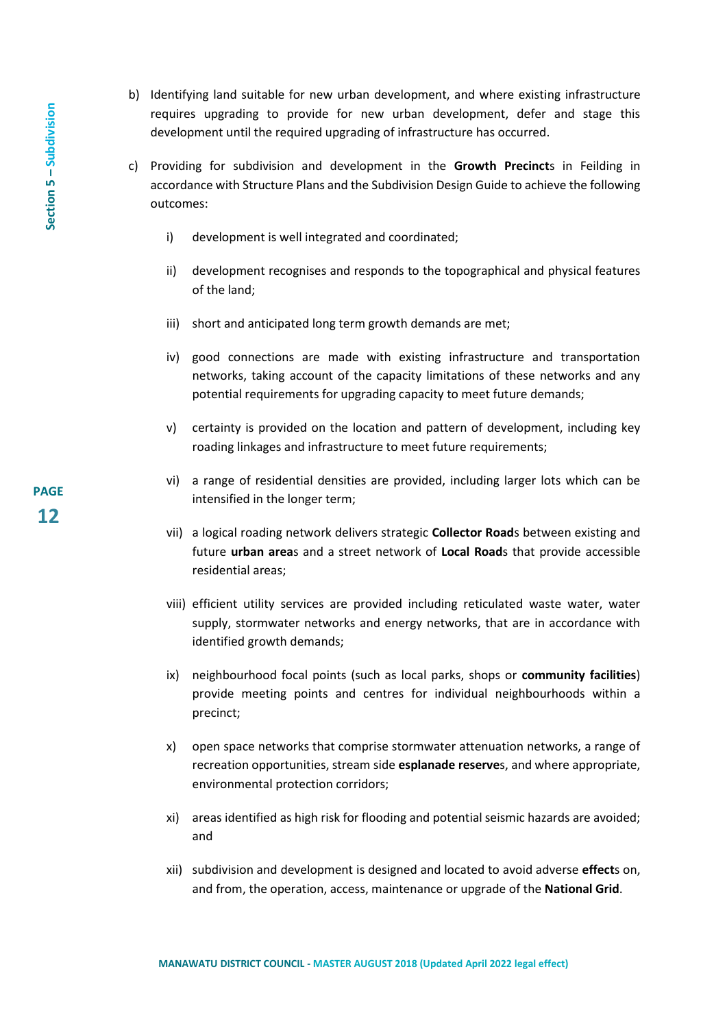- b) Identifying land suitable for new urban development, and where existing infrastructure requires upgrading to provide for new urban development, defer and stage this development until the required upgrading of infrastructure has occurred.
- c) Providing for subdivision and development in the **Growth Precinct**s in Feilding in accordance with Structure Plans and the Subdivision Design Guide to achieve the following outcomes:
	- i) development is well integrated and coordinated;
	- ii) development recognises and responds to the topographical and physical features of the land;
	- iii) short and anticipated long term growth demands are met;
	- iv) good connections are made with existing infrastructure and transportation networks, taking account of the capacity limitations of these networks and any potential requirements for upgrading capacity to meet future demands;
	- v) certainty is provided on the location and pattern of development, including key roading linkages and infrastructure to meet future requirements;
	- vi) a range of residential densities are provided, including larger lots which can be intensified in the longer term;
	- vii) a logical roading network delivers strategic **Collector Road**s between existing and future **urban area**s and a street network of **Local Road**s that provide accessible residential areas;
	- viii) efficient utility services are provided including reticulated waste water, water supply, stormwater networks and energy networks, that are in accordance with identified growth demands;
	- ix) neighbourhood focal points (such as local parks, shops or **community facilities**) provide meeting points and centres for individual neighbourhoods within a precinct;
	- x) open space networks that comprise stormwater attenuation networks, a range of recreation opportunities, stream side **esplanade reserve**s, and where appropriate, environmental protection corridors;
	- xi) areas identified as high risk for flooding and potential seismic hazards are avoided; and
	- xii) subdivision and development is designed and located to avoid adverse **effect**s on, and from, the operation, access, maintenance or upgrade of the **National Grid**.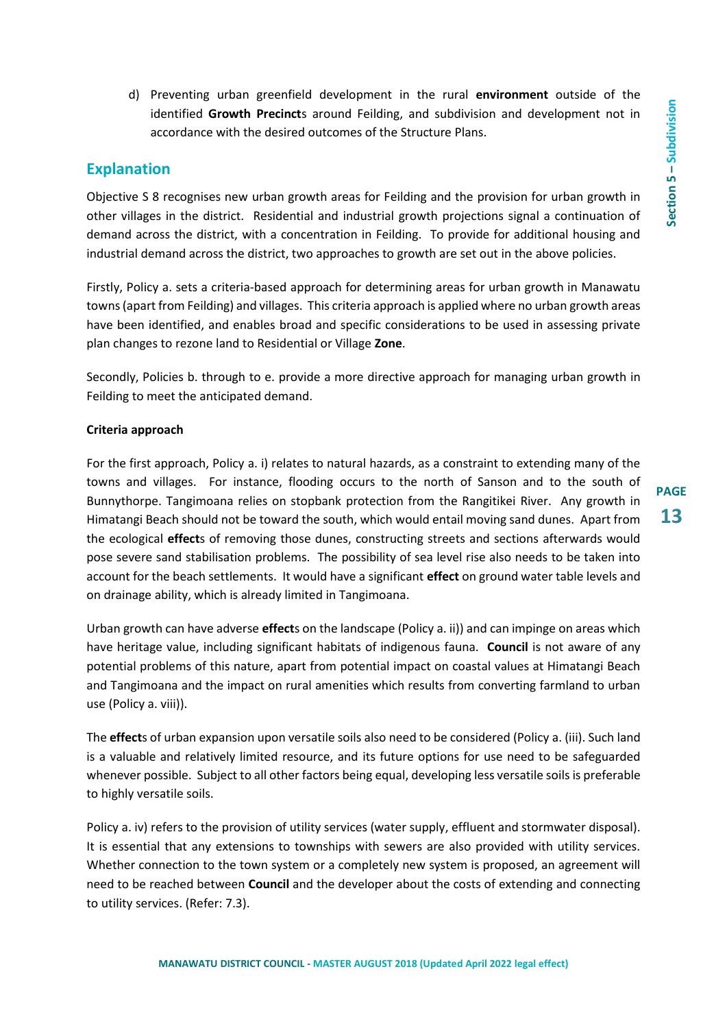d) Preventing urban greenfield development in the rural **environment** outside of the identified **Growth Precinct**s around Feilding, and subdivision and development not in accordance with the desired outcomes of the Structure Plans.

#### **Explanation**

Objective S 8 recognises new urban growth areas for Feilding and the provision for urban growth in other villages in the district. Residential and industrial growth projections signal a continuation of demand across the district, with a concentration in Feilding. To provide for additional housing and industrial demand across the district, two approaches to growth are set out in the above policies.

Firstly, Policy a. sets a criteria-based approach for determining areas for urban growth in Manawatu towns (apart from Feilding) and villages. This criteria approach is applied where no urban growth areas have been identified, and enables broad and specific considerations to be used in assessing private plan changes to rezone land to Residential or Village **Zone**.

Secondly, Policies b. through to e. provide a more directive approach for managing urban growth in Feilding to meet the anticipated demand.

#### **Criteria approach**

For the first approach, Policy a. i) relates to natural hazards, as a constraint to extending many of the towns and villages. For instance, flooding occurs to the north of Sanson and to the south of Bunnythorpe. Tangimoana relies on stopbank protection from the Rangitikei River. Any growth in Himatangi Beach should not be toward the south, which would entail moving sand dunes. Apart from the ecological **effect**s of removing those dunes, constructing streets and sections afterwards would pose severe sand stabilisation problems. The possibility of sea level rise also needs to be taken into account for the beach settlements. It would have a significant **effect** on ground water table levels and on drainage ability, which is already limited in Tangimoana.

Urban growth can have adverse **effect**s on the landscape (Policy a. ii)) and can impinge on areas which have heritage value, including significant habitats of indigenous fauna. **Council** is not aware of any potential problems of this nature, apart from potential impact on coastal values at Himatangi Beach and Tangimoana and the impact on rural amenities which results from converting farmland to urban use (Policy a. viii)).

The **effect**s of urban expansion upon versatile soils also need to be considered (Policy a. (iii). Such land is a valuable and relatively limited resource, and its future options for use need to be safeguarded whenever possible. Subject to all other factors being equal, developing less versatile soils is preferable to highly versatile soils.

Policy a. iv) refers to the provision of utility services (water supply, effluent and stormwater disposal). It is essential that any extensions to townships with sewers are also provided with utility services. Whether connection to the town system or a completely new system is proposed, an agreement will need to be reached between **Council** and the developer about the costs of extending and connecting to utility services. (Refer: 7.3).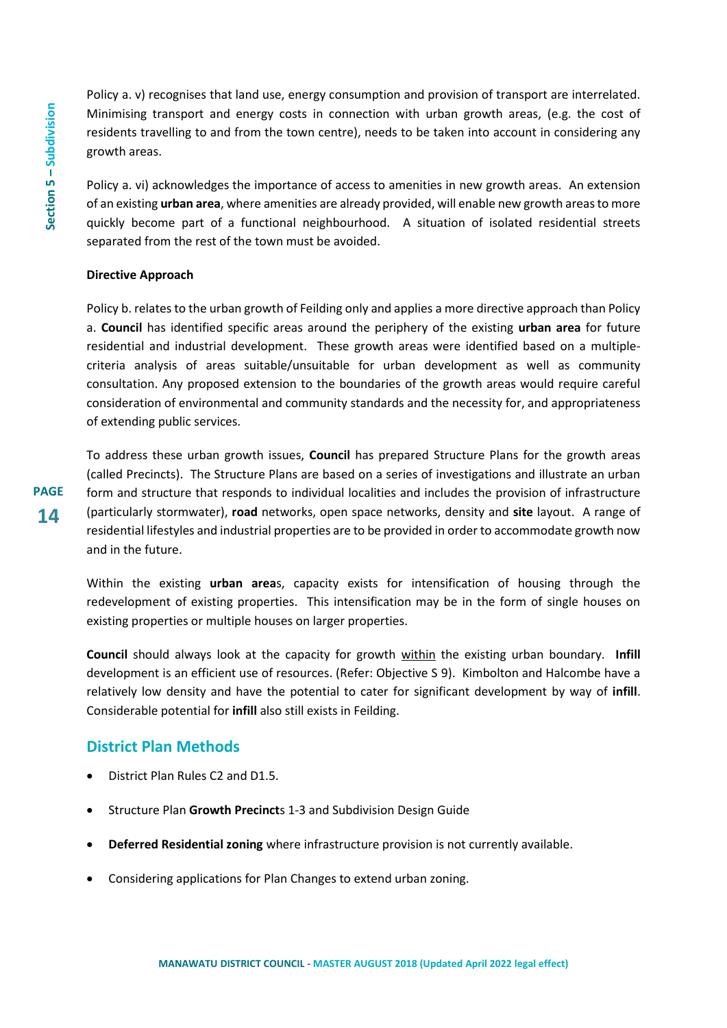Policy a. v) recognises that land use, energy consumption and provision of transport are interrelated. Minimising transport and energy costs in connection with urban growth areas, (e.g. the cost of residents travelling to and from the town centre), needs to be taken into account in considering any growth areas.

Policy a. vi) acknowledges the importance of access to amenities in new growth areas. An extension of an existing **urban area**, where amenities are already provided, will enable new growth areas to more quickly become part of a functional neighbourhood. A situation of isolated residential streets separated from the rest of the town must be avoided.

#### **Directive Approach**

Policy b. relates to the urban growth of Feilding only and applies a more directive approach than Policy a. **Council** has identified specific areas around the periphery of the existing **urban area** for future residential and industrial development. These growth areas were identified based on a multiplecriteria analysis of areas suitable/unsuitable for urban development as well as community consultation. Any proposed extension to the boundaries of the growth areas would require careful consideration of environmental and community standards and the necessity for, and appropriateness of extending public services.

To address these urban growth issues, **Council** has prepared Structure Plans for the growth areas (called Precincts). The Structure Plans are based on a series of investigations and illustrate an urban form and structure that responds to individual localities and includes the provision of infrastructure (particularly stormwater), **road** networks, open space networks, density and **site** layout. A range of residential lifestyles and industrial properties are to be provided in order to accommodate growth now and in the future.

Within the existing **urban area**s, capacity exists for intensification of housing through the redevelopment of existing properties. This intensification may be in the form of single houses on existing properties or multiple houses on larger properties.

**Council** should always look at the capacity for growth within the existing urban boundary. **Infill** development is an efficient use of resources. (Refer: Objective S 9). Kimbolton and Halcombe have a relatively low density and have the potential to cater for significant development by way of **infill**. Considerable potential for **infill** also still exists in Feilding.

#### **District Plan Methods**

- District Plan Rules C2 and D1.5.
- Structure Plan **Growth Precinct**s 1-3 and Subdivision Design Guide
- **Deferred Residential zoning** where infrastructure provision is not currently available.
- Considering applications for Plan Changes to extend urban zoning.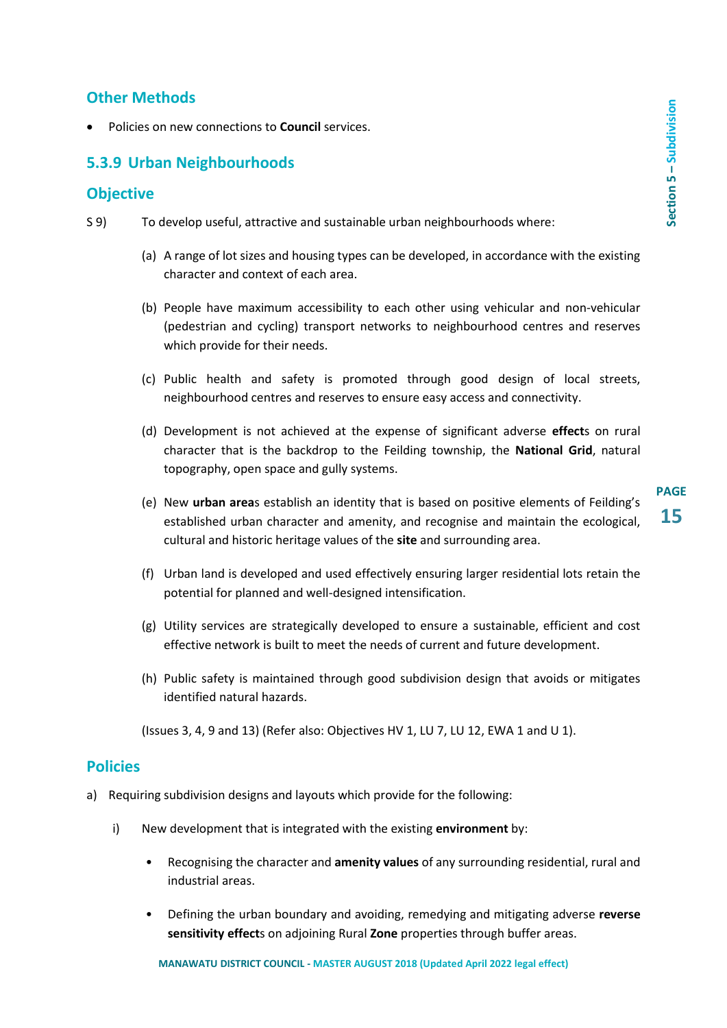#### **Other Methods**

• Policies on new connections to **Council** services.

#### <span id="page-16-0"></span>**5.3.9 Urban Neighbourhoods**

#### **Objective**

- S 9) To develop useful, attractive and sustainable urban neighbourhoods where:
	- (a) A range of lot sizes and housing types can be developed, in accordance with the existing character and context of each area.
	- (b) People have maximum accessibility to each other using vehicular and non-vehicular (pedestrian and cycling) transport networks to neighbourhood centres and reserves which provide for their needs.
	- (c) Public health and safety is promoted through good design of local streets, neighbourhood centres and reserves to ensure easy access and connectivity.
	- (d) Development is not achieved at the expense of significant adverse **effect**s on rural character that is the backdrop to the Feilding township, the **National Grid**, natural topography, open space and gully systems.
	- (e) New **urban area**s establish an identity that is based on positive elements of Feilding's established urban character and amenity, and recognise and maintain the ecological, cultural and historic heritage values of the **site** and surrounding area.
	- (f) Urban land is developed and used effectively ensuring larger residential lots retain the potential for planned and well-designed intensification.
	- (g) Utility services are strategically developed to ensure a sustainable, efficient and cost effective network is built to meet the needs of current and future development.
	- (h) Public safety is maintained through good subdivision design that avoids or mitigates identified natural hazards.

(Issues 3, 4, 9 and 13) (Refer also: Objectives HV 1, LU 7, LU 12, EWA 1 and U 1).

#### **Policies**

- a) Requiring subdivision designs and layouts which provide for the following:
	- i) New development that is integrated with the existing **environment** by:
		- Recognising the character and **amenity values** of any surrounding residential, rural and industrial areas.
		- Defining the urban boundary and avoiding, remedying and mitigating adverse **reverse sensitivity effect**s on adjoining Rural **Zone** properties through buffer areas.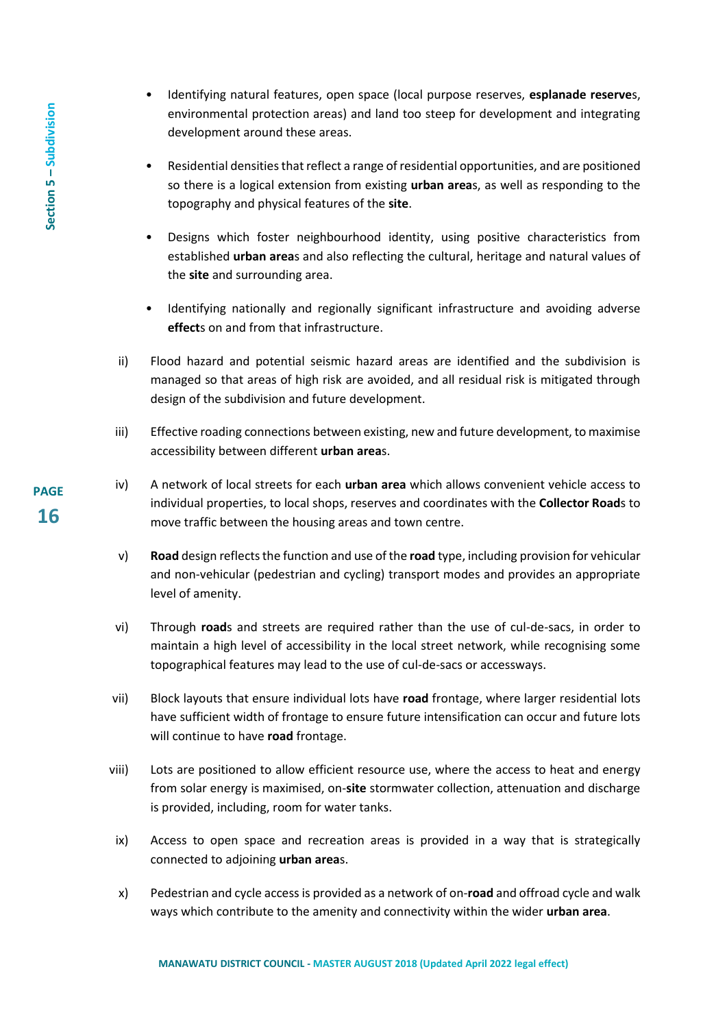- Identifying natural features, open space (local purpose reserves, **esplanade reserve**s, environmental protection areas) and land too steep for development and integrating development around these areas.
- Residential densities that reflect a range of residential opportunities, and are positioned so there is a logical extension from existing **urban area**s, as well as responding to the topography and physical features of the **site**.
- Designs which foster neighbourhood identity, using positive characteristics from established **urban area**s and also reflecting the cultural, heritage and natural values of the **site** and surrounding area.
- Identifying nationally and regionally significant infrastructure and avoiding adverse **effect**s on and from that infrastructure.
- ii) Flood hazard and potential seismic hazard areas are identified and the subdivision is managed so that areas of high risk are avoided, and all residual risk is mitigated through design of the subdivision and future development.
- iii) Effective roading connections between existing, new and future development, to maximise accessibility between different **urban area**s.
- iv) A network of local streets for each **urban area** which allows convenient vehicle access to individual properties, to local shops, reserves and coordinates with the **Collector Road**s to move traffic between the housing areas and town centre.
- v) **Road** design reflects the function and use of the **road** type, including provision for vehicular and non-vehicular (pedestrian and cycling) transport modes and provides an appropriate level of amenity.
- vi) Through **road**s and streets are required rather than the use of cul-de-sacs, in order to maintain a high level of accessibility in the local street network, while recognising some topographical features may lead to the use of cul-de-sacs or accessways.
- vii) Block layouts that ensure individual lots have **road** frontage, where larger residential lots have sufficient width of frontage to ensure future intensification can occur and future lots will continue to have **road** frontage.
- viii) Lots are positioned to allow efficient resource use, where the access to heat and energy from solar energy is maximised, on-**site** stormwater collection, attenuation and discharge is provided, including, room for water tanks.
- ix) Access to open space and recreation areas is provided in a way that is strategically connected to adjoining **urban area**s.
- x) Pedestrian and cycle access is provided as a network of on-**road** and offroad cycle and walk ways which contribute to the amenity and connectivity within the wider **urban area**.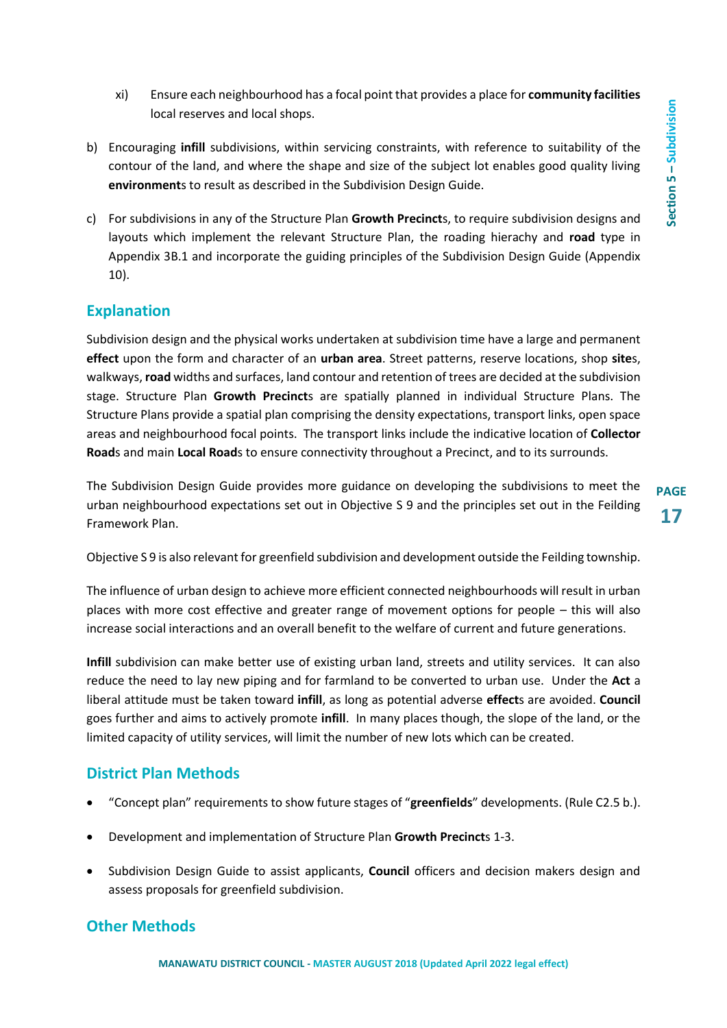- xi) Ensure each neighbourhood has a focal point that provides a place for **community facilities** local reserves and local shops.
- b) Encouraging **infill** subdivisions, within servicing constraints, with reference to suitability of the contour of the land, and where the shape and size of the subject lot enables good quality living **environment**s to result as described in the Subdivision Design Guide.
- c) For subdivisions in any of the Structure Plan **Growth Precinct**s, to require subdivision designs and layouts which implement the relevant Structure Plan, the roading hierachy and **road** type in Appendix 3B.1 and incorporate the guiding principles of the Subdivision Design Guide (Appendix 10).

#### **Explanation**

Subdivision design and the physical works undertaken at subdivision time have a large and permanent **effect** upon the form and character of an **urban area**. Street patterns, reserve locations, shop **site**s, walkways, **road** widths and surfaces, land contour and retention of trees are decided at the subdivision stage. Structure Plan **Growth Precinct**s are spatially planned in individual Structure Plans. The Structure Plans provide a spatial plan comprising the density expectations, transport links, open space areas and neighbourhood focal points. The transport links include the indicative location of **Collector Road**s and main **Local Road**s to ensure connectivity throughout a Precinct, and to its surrounds.

The Subdivision Design Guide provides more guidance on developing the subdivisions to meet the urban neighbourhood expectations set out in Objective S 9 and the principles set out in the Feilding Framework Plan.

Objective S 9 is also relevant for greenfield subdivision and development outside the Feilding township.

The influence of urban design to achieve more efficient connected neighbourhoods will result in urban places with more cost effective and greater range of movement options for people – this will also increase social interactions and an overall benefit to the welfare of current and future generations.

**Infill** subdivision can make better use of existing urban land, streets and utility services. It can also reduce the need to lay new piping and for farmland to be converted to urban use. Under the **Act** a liberal attitude must be taken toward **infill**, as long as potential adverse **effect**s are avoided. **Council** goes further and aims to actively promote **infill**. In many places though, the slope of the land, or the limited capacity of utility services, will limit the number of new lots which can be created.

#### **District Plan Methods**

- "Concept plan" requirements to show future stages of "**greenfields**" developments. (Rule C2.5 b.).
- Development and implementation of Structure Plan **Growth Precinct**s 1-3.
- Subdivision Design Guide to assist applicants, **Council** officers and decision makers design and assess proposals for greenfield subdivision.

#### **Other Methods**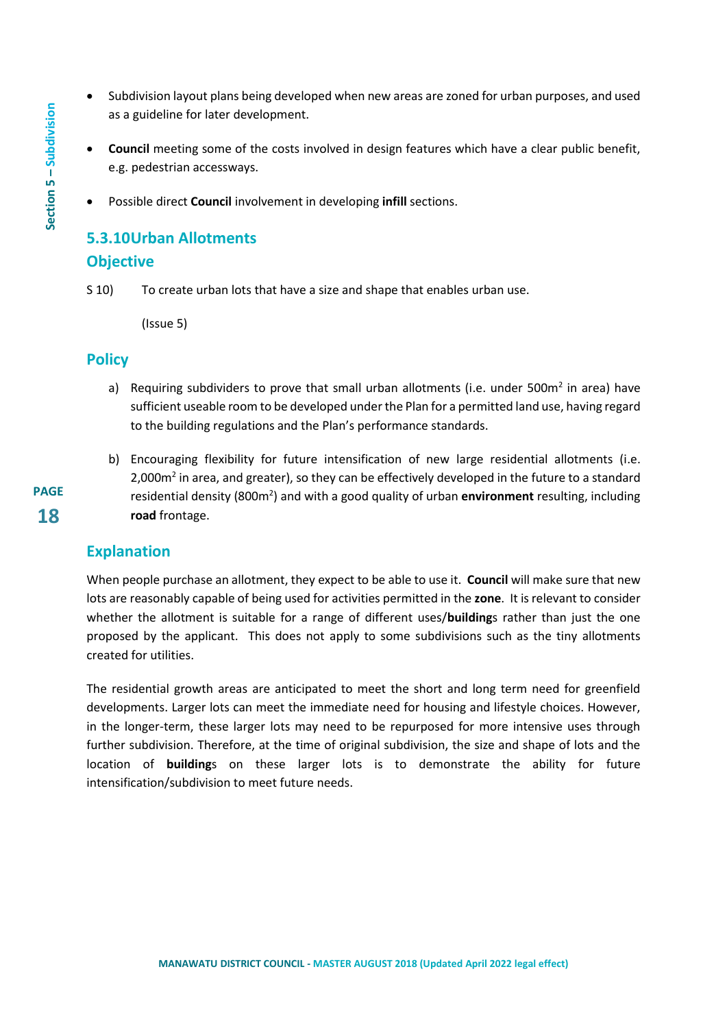- Subdivision layout plans being developed when new areas are zoned for urban purposes, and used as a guideline for later development.
- **Council** meeting some of the costs involved in design features which have a clear public benefit, e.g. pedestrian accessways.
- Possible direct **Council** involvement in developing **infill** sections.

#### <span id="page-19-0"></span>**5.3.10Urban Allotments**

#### **Objective**

S 10) To create urban lots that have a size and shape that enables urban use.

(Issue 5)

#### **Policy**

- a) Requiring subdividers to prove that small urban allotments (i.e. under 500m<sup>2</sup> in area) have sufficient useable room to be developed under the Plan for a permitted land use, having regard to the building regulations and the Plan's performance standards.
- b) Encouraging flexibility for future intensification of new large residential allotments (i.e. 2,000 $m^2$  in area, and greater), so they can be effectively developed in the future to a standard residential density (800m<sup>2</sup>) and with a good quality of urban **environment** resulting, including **road** frontage.

#### **Explanation**

When people purchase an allotment, they expect to be able to use it. **Council** will make sure that new lots are reasonably capable of being used for activities permitted in the **zone**. It is relevant to consider whether the allotment is suitable for a range of different uses/**building**s rather than just the one proposed by the applicant. This does not apply to some subdivisions such as the tiny allotments created for utilities.

The residential growth areas are anticipated to meet the short and long term need for greenfield developments. Larger lots can meet the immediate need for housing and lifestyle choices. However, in the longer-term, these larger lots may need to be repurposed for more intensive uses through further subdivision. Therefore, at the time of original subdivision, the size and shape of lots and the location of **building**s on these larger lots is to demonstrate the ability for future intensification/subdivision to meet future needs.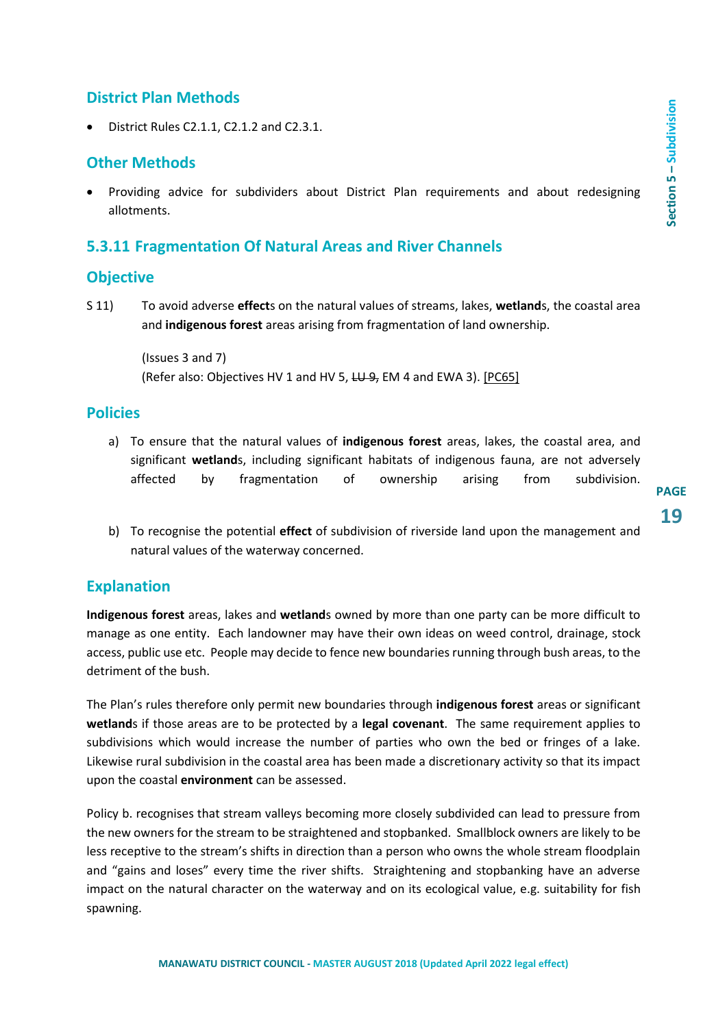#### **District Plan Methods**

• District Rules C2.1.1, C2.1.2 and C2.3.1.

#### **Other Methods**

• Providing advice for subdividers about District Plan requirements and about redesigning allotments.

#### <span id="page-20-0"></span>**5.3.11 Fragmentation Of Natural Areas and River Channels**

#### **Objective**

S 11) To avoid adverse **effect**s on the natural values of streams, lakes, **wetland**s, the coastal area and **indigenous forest** areas arising from fragmentation of land ownership.

(Issues 3 and 7) (Refer also: Objectives HV 1 and HV 5,  $LU$  9, EM 4 and EWA 3). [PC65]

#### **Policies**

- a) To ensure that the natural values of **indigenous forest** areas, lakes, the coastal area, and significant **wetland**s, including significant habitats of indigenous fauna, are not adversely affected by fragmentation of ownership arising from subdivision.
- b) To recognise the potential **effect** of subdivision of riverside land upon the management and natural values of the waterway concerned.

#### **Explanation**

**Indigenous forest** areas, lakes and **wetland**s owned by more than one party can be more difficult to manage as one entity. Each landowner may have their own ideas on weed control, drainage, stock access, public use etc. People may decide to fence new boundaries running through bush areas, to the detriment of the bush.

The Plan's rules therefore only permit new boundaries through **indigenous forest** areas or significant **wetland**s if those areas are to be protected by a **legal covenant**. The same requirement applies to subdivisions which would increase the number of parties who own the bed or fringes of a lake. Likewise rural subdivision in the coastal area has been made a discretionary activity so that its impact upon the coastal **environment** can be assessed.

Policy b. recognises that stream valleys becoming more closely subdivided can lead to pressure from the new owners for the stream to be straightened and stopbanked. Smallblock owners are likely to be less receptive to the stream's shifts in direction than a person who owns the whole stream floodplain and "gains and loses" every time the river shifts. Straightening and stopbanking have an adverse impact on the natural character on the waterway and on its ecological value, e.g. suitability for fish spawning.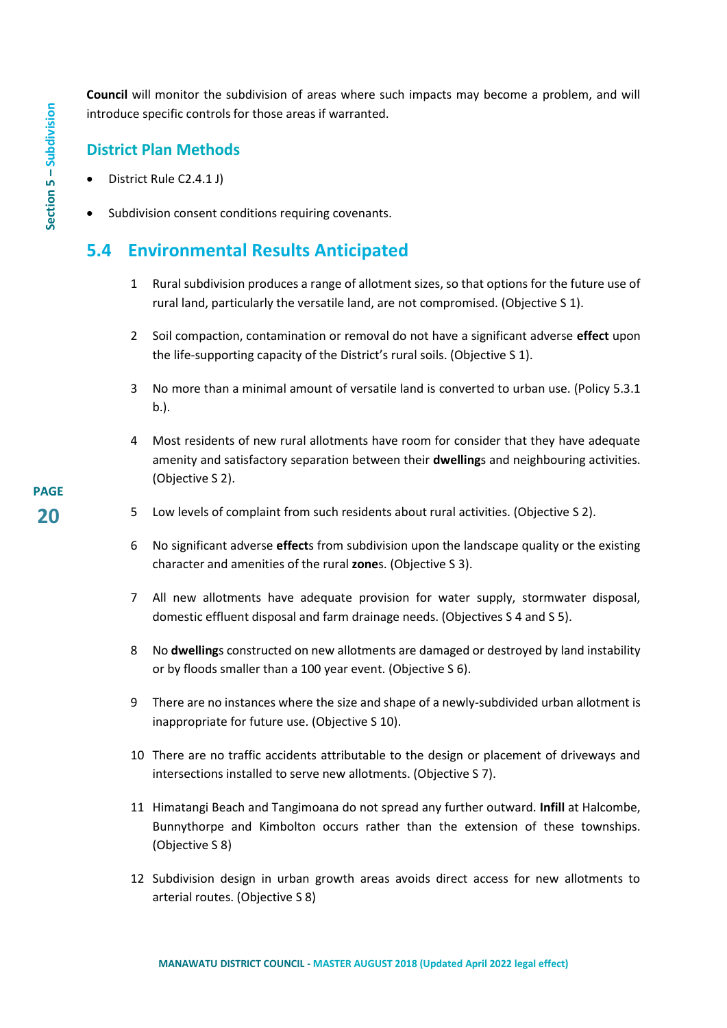**Council** will monitor the subdivision of areas where such impacts may become a problem, and will introduce specific controls for those areas if warranted.

#### **District Plan Methods**

- District Rule C2.4.1 J)
- Subdivision consent conditions requiring covenants.

## <span id="page-21-0"></span>**5.4 Environmental Results Anticipated**

- 1 Rural subdivision produces a range of allotment sizes, so that options for the future use of rural land, particularly the versatile land, are not compromised. (Objective S 1).
- 2 Soil compaction, contamination or removal do not have a significant adverse **effect** upon the life-supporting capacity of the District's rural soils. (Objective S 1).
- 3 No more than a minimal amount of versatile land is converted to urban use. (Policy 5.3.1 b.).
- 4 Most residents of new rural allotments have room for consider that they have adequate amenity and satisfactory separation between their **dwelling**s and neighbouring activities. (Objective S 2).
- 5 Low levels of complaint from such residents about rural activities. (Objective S 2).
- 6 No significant adverse **effect**s from subdivision upon the landscape quality or the existing character and amenities of the rural **zone**s. (Objective S 3).
- 7 All new allotments have adequate provision for water supply, stormwater disposal, domestic effluent disposal and farm drainage needs. (Objectives S 4 and S 5).
- 8 No **dwelling**s constructed on new allotments are damaged or destroyed by land instability or by floods smaller than a 100 year event. (Objective S 6).
- 9 There are no instances where the size and shape of a newly-subdivided urban allotment is inappropriate for future use. (Objective S 10).
- 10 There are no traffic accidents attributable to the design or placement of driveways and intersections installed to serve new allotments. (Objective S 7).
- 11 Himatangi Beach and Tangimoana do not spread any further outward. **Infill** at Halcombe, Bunnythorpe and Kimbolton occurs rather than the extension of these townships. (Objective S 8)
- 12 Subdivision design in urban growth areas avoids direct access for new allotments to arterial routes. (Objective S 8)